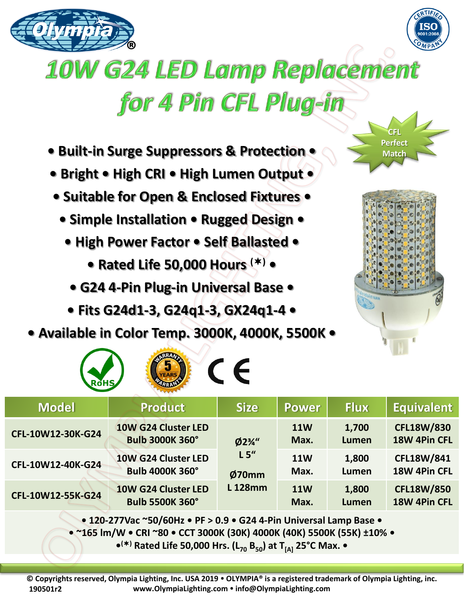



## **10W G24 LED Lamp Replacement** for 4 Pin CFL Plug-in

- **Built-in Surge Suppressors & Protection •**
- **Bright • High CRI • High Lumen Output •**
- **Suitable for Open & Enclosed Fixtures •**
	- **Simple Installation Rugged Design •**
		- **High Power Factor Self Ballasted** 
			- **Rated Life 50,000 Hours () •**
			- **G24 4-Pin Plug-in Universal Base**
		- **Fits G24d1-3, G24q1-3, GX24q1-4 •**
- **Available in Color Temp. 3000K, 4000K, 5500K •**

**O CENT** 



**CFL Perfect Match** 

| <b>RoHS/</b><br>ARRANT                                                                                                                 |                                               |                                                     |                    |                |                                   |
|----------------------------------------------------------------------------------------------------------------------------------------|-----------------------------------------------|-----------------------------------------------------|--------------------|----------------|-----------------------------------|
| <b>Model</b>                                                                                                                           | <b>Product</b>                                | <b>Size</b>                                         | <b>Power</b>       | <b>Flux</b>    | Equivalent                        |
| CFL-10W12-30K-G24                                                                                                                      | 10W G24 Cluster LED<br><b>Bulb 3000K 360°</b> | $Ø2\frac{3}{4}$ "<br>L5''<br>Ø70mm<br><b>L128mm</b> | <b>11W</b><br>Max. | 1,700<br>Lumen | <b>CFL18W/830</b><br>18W 4Pin CFL |
| CFL-10W12-40K-G24                                                                                                                      | 10W G24 Cluster LED<br><b>Bulb 4000K 360°</b> |                                                     | <b>11W</b><br>Max. | 1,800<br>Lumen | <b>CFL18W/841</b><br>18W 4Pin CFL |
| CFL-10W12-55K-G24                                                                                                                      | 10W G24 Cluster LED<br><b>Bulb 5500K 360°</b> |                                                     | <b>11W</b><br>Max. | 1,800<br>Lumen | <b>CFL18W/850</b><br>18W 4Pin CFL |
| $\bullet$ 120 277 Vec "EQ/EQU <sub>2</sub> $\bullet$ DE $\setminus$ 0.9 $\bullet$ C <sub>24</sub> A. Din Universal Lamp Base $\bullet$ |                                               |                                                     |                    |                |                                   |

**• 120-277Vac ~50/60Hz • PF > 0.9 • G24 4-Pin Universal Lamp Base •**

**• ~165 lm/W • CRI ~80 • CCT 3000K (30K) 4000K (40K) 5500K (55K) ±10% •**

**• () Rated Life 50,000 Hrs. (L<sup>70</sup> B50) at T[A] 25°C Max. •**

**© Copyrights reserved, Olympia Lighting, Inc. USA 2019 OLYMPIA® is a registered trademark of Olympia Lighting, inc. www.OlympiaLighting.com info@OlympiaLighting.com 190501r2**